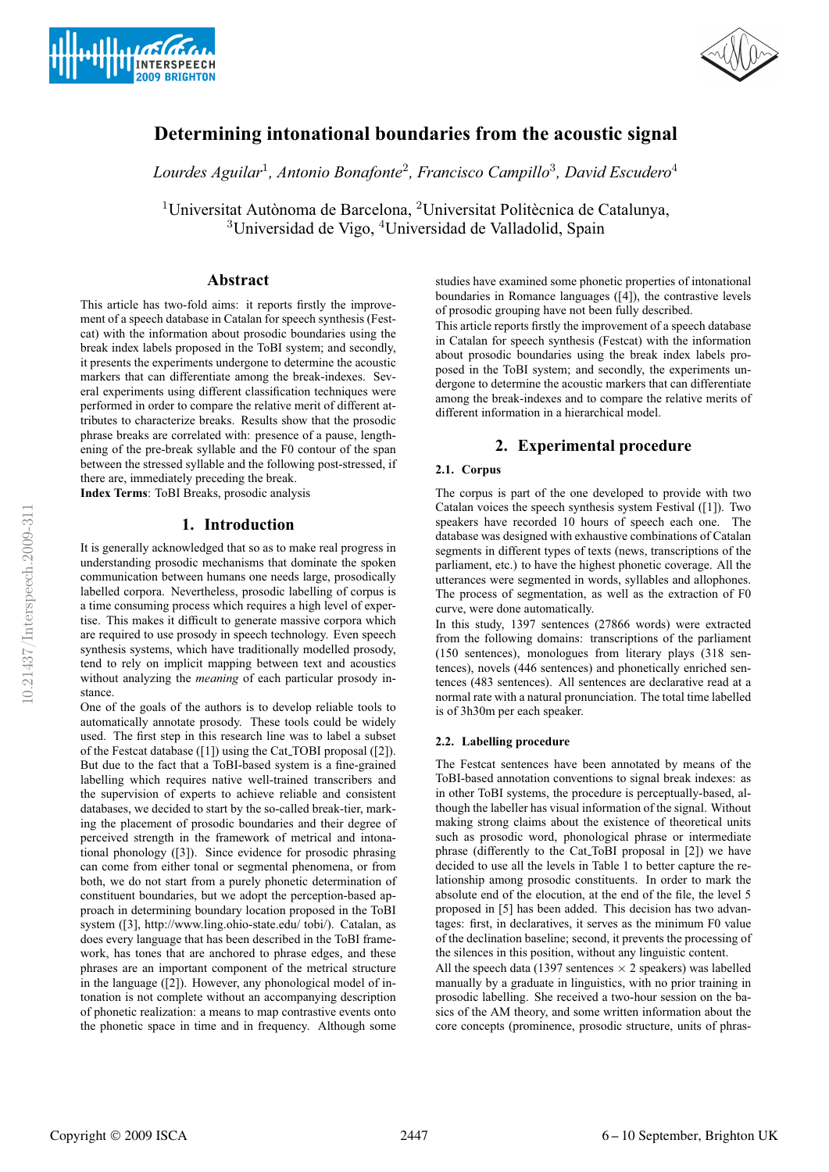



# **Determining intonational boundaries from the acoustic signal**

*Lourdes Aguilar*<sup>1</sup>*, Antonio Bonafonte*<sup>2</sup>*, Francisco Campillo*<sup>3</sup>*, David Escudero*<sup>4</sup>

 $1$ Universitat Autònoma de Barcelona,  $2$ Universitat Politècnica de Catalunya, <sup>3</sup>Universidad de Vigo, <sup>4</sup>Universidad de Valladolid, Spain

## **Abstract**

This article has two-fold aims: it reports firstly the improvement of a speech database in Catalan for speech synthesis (Festcat) with the information about prosodic boundaries using the break index labels proposed in the ToBI system; and secondly, it presents the experiments undergone to determine the acoustic markers that can differentiate among the break-indexes. Several experiments using different classification techniques were performed in order to compare the relative merit of different attributes to characterize breaks. Results show that the prosodic phrase breaks are correlated with: presence of a pause, lengthening of the pre-break syllable and the F0 contour of the span between the stressed syllable and the following post-stressed, if there are, immediately preceding the break.

**Index Terms**: ToBI Breaks, prosodic analysis

## **1. Introduction**

It is generally acknowledged that so as to make real progress in understanding prosodic mechanisms that dominate the spoken communication between humans one needs large, prosodically labelled corpora. Nevertheless, prosodic labelling of corpus is a time consuming process which requires a high level of expertise. This makes it difficult to generate massive corpora which are required to use prosody in speech technology. Even speech synthesis systems, which have traditionally modelled prosody, tend to rely on implicit mapping between text and acoustics without analyzing the *meaning* of each particular prosody instance.

One of the goals of the authors is to develop reliable tools to automatically annotate prosody. These tools could be widely used. The first step in this research line was to label a subset of the Festcat database ([1]) using the Cat TOBI proposal ([2]). But due to the fact that a ToBI-based system is a fine-grained labelling which requires native well-trained transcribers and the supervision of experts to achieve reliable and consistent databases, we decided to start by the so-called break-tier, marking the placement of prosodic boundaries and their degree of perceived strength in the framework of metrical and intonational phonology ([3]). Since evidence for prosodic phrasing can come from either tonal or segmental phenomena, or from both, we do not start from a purely phonetic determination of constituent boundaries, but we adopt the perception-based approach in determining boundary location proposed in the ToBI system ([3], http://www.ling.ohio-state.edu/ tobi/). Catalan, as does every language that has been described in the ToBI framework, has tones that are anchored to phrase edges, and these phrases are an important component of the metrical structure in the language ([2]). However, any phonological model of intonation is not complete without an accompanying description of phonetic realization: a means to map contrastive events onto the phonetic space in time and in frequency. Although some

studies have examined some phonetic properties of intonational boundaries in Romance languages ([4]), the contrastive levels of prosodic grouping have not been fully described.

This article reports firstly the improvement of a speech database in Catalan for speech synthesis (Festcat) with the information about prosodic boundaries using the break index labels proposed in the ToBI system; and secondly, the experiments undergone to determine the acoustic markers that can differentiate among the break-indexes and to compare the relative merits of different information in a hierarchical model.

# **2. Experimental procedure**

### **2.1. Corpus**

The corpus is part of the one developed to provide with two Catalan voices the speech synthesis system Festival ([1]). Two speakers have recorded 10 hours of speech each one. The database was designed with exhaustive combinations of Catalan segments in different types of texts (news, transcriptions of the parliament, etc.) to have the highest phonetic coverage. All the utterances were segmented in words, syllables and allophones. The process of segmentation, as well as the extraction of F0 curve, were done automatically.

In this study, 1397 sentences (27866 words) were extracted from the following domains: transcriptions of the parliament (150 sentences), monologues from literary plays (318 sentences), novels (446 sentences) and phonetically enriched sentences (483 sentences). All sentences are declarative read at a normal rate with a natural pronunciation. The total time labelled is of 3h30m per each speaker.

#### **2.2. Labelling procedure**

The Festcat sentences have been annotated by means of the ToBI-based annotation conventions to signal break indexes: as in other ToBI systems, the procedure is perceptually-based, although the labeller has visual information of the signal. Without making strong claims about the existence of theoretical units such as prosodic word, phonological phrase or intermediate phrase (differently to the Cat ToBI proposal in [2]) we have decided to use all the levels in Table 1 to better capture the relationship among prosodic constituents. In order to mark the absolute end of the elocution, at the end of the file, the level 5 proposed in [5] has been added. This decision has two advantages: first, in declaratives, it serves as the minimum F0 value of the declination baseline; second, it prevents the processing of the silences in this position, without any linguistic content.

All the speech data (1397 sentences  $\times$  2 speakers) was labelled manually by a graduate in linguistics, with no prior training in prosodic labelling. She received a two-hour session on the basics of the AM theory, and some written information about the core concepts (prominence, prosodic structure, units of phras-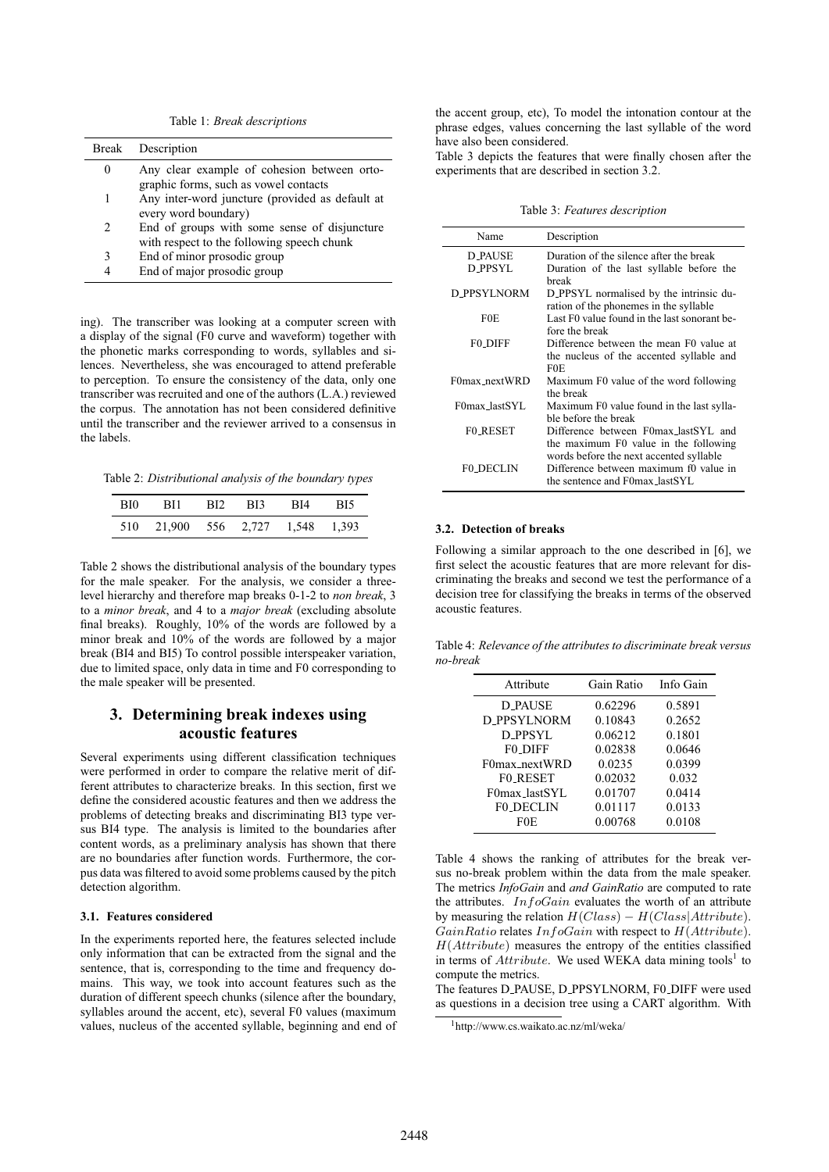Table 1: *Break descriptions*

|                               | Break Description                                                                          |
|-------------------------------|--------------------------------------------------------------------------------------------|
| $\theta$                      | Any clear example of cohesion between orto-<br>graphic forms, such as vowel contacts       |
| 1                             | Any inter-word juncture (provided as default at<br>every word boundary)                    |
| $\mathfrak{D}_{\mathfrak{p}}$ | End of groups with some sense of disjuncture<br>with respect to the following speech chunk |
| 3                             | End of minor prosodic group                                                                |
|                               | End of major prosodic group                                                                |

ing). The transcriber was looking at a computer screen with a display of the signal (F0 curve and waveform) together with the phonetic marks corresponding to words, syllables and silences. Nevertheless, she was encouraged to attend preferable to perception. To ensure the consistency of the data, only one transcriber was recruited and one of the authors (L.A.) reviewed the corpus. The annotation has not been considered definitive until the transcriber and the reviewer arrived to a consensus in the labels.

Table 2: *Distributional analysis of the boundary types*

| BI0 - |                                  | - RI1 - RI2 - RI3 - RI4 - RI5 |  |
|-------|----------------------------------|-------------------------------|--|
|       | 510 21,900 556 2,727 1,548 1,393 |                               |  |

Table 2 shows the distributional analysis of the boundary types for the male speaker. For the analysis, we consider a threelevel hierarchy and therefore map breaks 0-1-2 to *non break*, 3 to a *minor break*, and 4 to a *major break* (excluding absolute final breaks). Roughly, 10% of the words are followed by a minor break and 10% of the words are followed by a major break (BI4 and BI5) To control possible interspeaker variation, due to limited space, only data in time and F0 corresponding to the male speaker will be presented.

# **3. Determining break indexes using acoustic features**

Several experiments using different classification techniques were performed in order to compare the relative merit of different attributes to characterize breaks. In this section, first we define the considered acoustic features and then we address the problems of detecting breaks and discriminating BI3 type versus BI4 type. The analysis is limited to the boundaries after content words, as a preliminary analysis has shown that there are no boundaries after function words. Furthermore, the corpus data was filtered to avoid some problems caused by the pitch detection algorithm.

#### **3.1. Features considered**

In the experiments reported here, the features selected include only information that can be extracted from the signal and the sentence, that is, corresponding to the time and frequency domains. This way, we took into account features such as the duration of different speech chunks (silence after the boundary, syllables around the accent, etc), several F0 values (maximum values, nucleus of the accented syllable, beginning and end of the accent group, etc), To model the intonation contour at the phrase edges, values concerning the last syllable of the word have also been considered.

Table 3 depicts the features that were finally chosen after the experiments that are described in section 3.2.

Table 3: *Features description*

| Name               | Description                                                                                                         |  |
|--------------------|---------------------------------------------------------------------------------------------------------------------|--|
| D PAUSE            | Duration of the silence after the break                                                                             |  |
| D PPSYL            | Duration of the last syllable before the<br>hreak                                                                   |  |
| <b>D_PPSYLNORM</b> | D_PPSYL normalised by the intrinsic du-<br>ration of the phonemes in the syllable                                   |  |
| F0E                | Last F0 value found in the last sonorant be-<br>fore the break                                                      |  |
| <b>FO DIFF</b>     | Difference between the mean F0 value at<br>the nucleus of the accented syllable and<br>F0E.                         |  |
| F0max nextWRD      | Maximum F0 value of the word following<br>the break                                                                 |  |
| F0max lastSYL      | Maximum F0 value found in the last sylla-<br>ble before the break                                                   |  |
| <b>FO RESET</b>    | Difference between F0max lastSYL and<br>the maximum F0 value in the following                                       |  |
| <b>FO DECLIN</b>   | words before the next accented syllable<br>Difference between maximum f0 value in<br>the sentence and F0max_lastSYL |  |

#### **3.2. Detection of breaks**

Following a similar approach to the one described in [6], we first select the acoustic features that are more relevant for discriminating the breaks and second we test the performance of a decision tree for classifying the breaks in terms of the observed acoustic features.

Table 4: *Relevance of the attributes to discriminate break versus no-break*

| Attribute          | Gain Ratio | Info Gain |
|--------------------|------------|-----------|
| <b>D_PAUSE</b>     | 0.62296    | 0.5891    |
| <b>D_PPSYLNORM</b> | 0.10843    | 0.2652    |
| <b>D_PPSYL</b>     | 0.06212    | 0.1801    |
| <b>FO DIFF</b>     | 0.02838    | 0.0646    |
| F0max nextWRD      | 0.0235     | 0.0399    |
| <b>FO_RESET</b>    | 0.02032    | 0.032     |
| F0max_lastSYL      | 0.01707    | 0.0414    |
| <b>F0_DECLIN</b>   | 0.01117    | 0.0133    |
| F0E                | 0.00768    | 0.0108    |
|                    |            |           |

Table 4 shows the ranking of attributes for the break versus no-break problem within the data from the male speaker. The metrics *InfoGain* and *and GainRatio* are computed to rate the attributes.  $InfoGain$  evaluates the worth of an attribute by measuring the relation  $H(Class) - H(Class|Attribute)$ .  $GainRatio$  relates  $InfoGain$  with respect to  $H(Attribute)$ . H(Attribute) measures the entropy of the entities classified in terms of  $Attribute$ . We used WEKA data mining tools<sup>1</sup> to compute the metrics.

The features D\_PAUSE, D\_PPSYLNORM, F0\_DIFF were used as questions in a decision tree using a CART algorithm. With

<sup>1</sup>http://www.cs.waikato.ac.nz/ml/weka/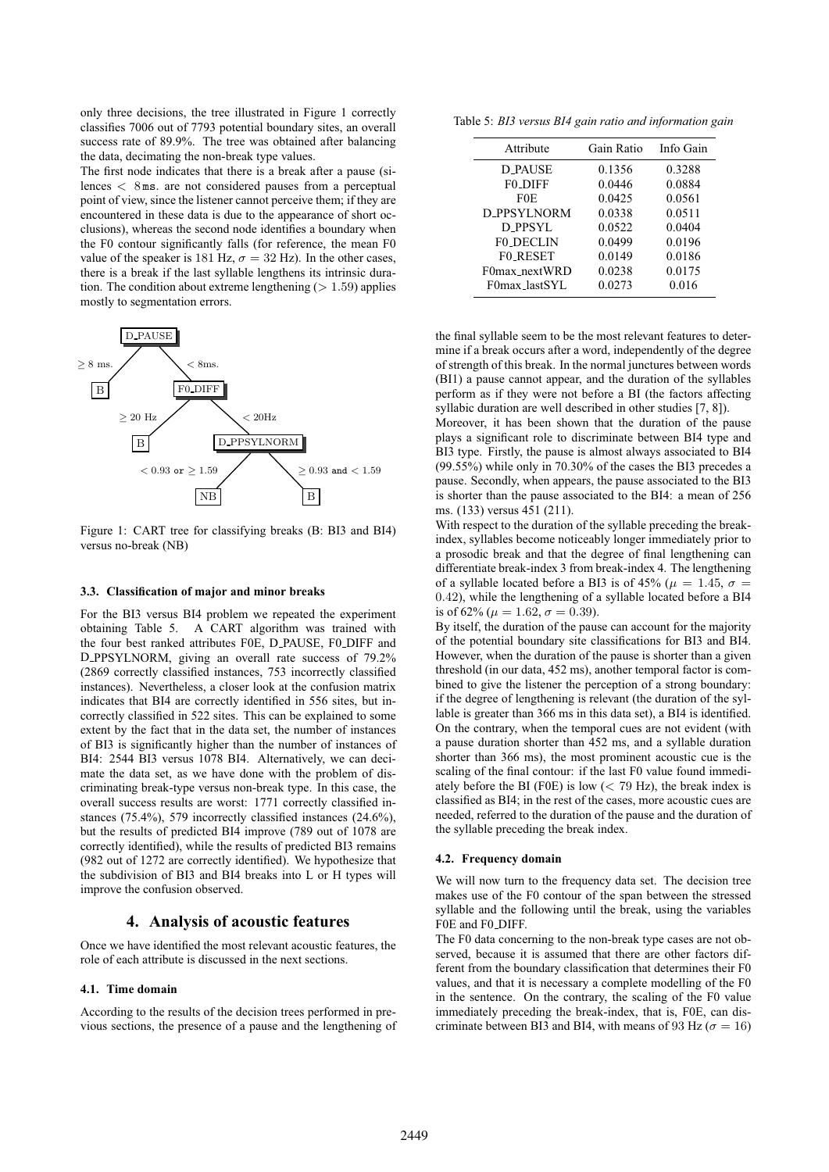only three decisions, the tree illustrated in Figure 1 correctly classifies 7006 out of 7793 potential boundary sites, an overall success rate of 89.9%. The tree was obtained after balancing the data, decimating the non-break type values.

The first node indicates that there is a break after a pause (silences < 8 ms. are not considered pauses from a perceptual point of view, since the listener cannot perceive them; if they are encountered in these data is due to the appearance of short occlusions), whereas the second node identifies a boundary when the F0 contour significantly falls (for reference, the mean F0 value of the speaker is 181 Hz,  $\sigma = 32$  Hz). In the other cases, there is a break if the last syllable lengthens its intrinsic duration. The condition about extreme lengthening  $(1.59)$  applies mostly to segmentation errors.



Figure 1: CART tree for classifying breaks (B: BI3 and BI4) versus no-break (NB)

#### **3.3. Classification of major and minor breaks**

For the BI3 versus BI4 problem we repeated the experiment obtaining Table 5. A CART algorithm was trained with the four best ranked attributes F0E, D PAUSE, F0 DIFF and D PPSYLNORM, giving an overall rate success of 79.2% (2869 correctly classified instances, 753 incorrectly classified instances). Nevertheless, a closer look at the confusion matrix indicates that BI4 are correctly identified in 556 sites, but incorrectly classified in 522 sites. This can be explained to some extent by the fact that in the data set, the number of instances of BI3 is significantly higher than the number of instances of BI4: 2544 BI3 versus 1078 BI4. Alternatively, we can decimate the data set, as we have done with the problem of discriminating break-type versus non-break type. In this case, the overall success results are worst: 1771 correctly classified instances (75.4%), 579 incorrectly classified instances (24.6%), but the results of predicted BI4 improve (789 out of 1078 are correctly identified), while the results of predicted BI3 remains (982 out of 1272 are correctly identified). We hypothesize that the subdivision of BI3 and BI4 breaks into L or H types will improve the confusion observed.

## **4. Analysis of acoustic features**

Once we have identified the most relevant acoustic features, the role of each attribute is discussed in the next sections.

#### **4.1. Time domain**

According to the results of the decision trees performed in previous sections, the presence of a pause and the lengthening of

Table 5: *BI3 versus BI4 gain ratio and information gain*

| Attribute          | Gain Ratio | Info Gain |
|--------------------|------------|-----------|
| D PAUSE            | 0.1356     | 0.3288    |
| <b>FO_DIFF</b>     | 0.0446     | 0.0884    |
| F0E                | 0.0425     | 0.0561    |
| <b>D_PPSYLNORM</b> | 0.0338     | 0.0511    |
| D PPSYL            | 0.0522     | 0.0404    |
| <b>FO DECLIN</b>   | 0.0499     | 0.0196    |
| <b>FO_RESET</b>    | 0.0149     | 0.0186    |
| F0max_nextWRD      | 0.0238     | 0.0175    |
| F0max_lastSYL      | 0.0273     | 0.016     |

the final syllable seem to be the most relevant features to determine if a break occurs after a word, independently of the degree of strength of this break. In the normal junctures between words (BI1) a pause cannot appear, and the duration of the syllables perform as if they were not before a BI (the factors affecting syllabic duration are well described in other studies [7, 8]).

Moreover, it has been shown that the duration of the pause plays a significant role to discriminate between BI4 type and BI3 type. Firstly, the pause is almost always associated to BI4 (99.55%) while only in 70.30% of the cases the BI3 precedes a pause. Secondly, when appears, the pause associated to the BI3 is shorter than the pause associated to the BI4: a mean of 256 ms. (133) versus 451 (211).

With respect to the duration of the syllable preceding the breakindex, syllables become noticeably longer immediately prior to a prosodic break and that the degree of final lengthening can differentiate break-index 3 from break-index 4. The lengthening of a syllable located before a BI3 is of 45% ( $\mu = 1.45$ ,  $\sigma =$ 0.42), while the lengthening of a syllable located before a BI4 is of 62% ( $\mu = 1.62$ ,  $\sigma = 0.39$ ).

By itself, the duration of the pause can account for the majority of the potential boundary site classifications for BI3 and BI4. However, when the duration of the pause is shorter than a given threshold (in our data, 452 ms), another temporal factor is combined to give the listener the perception of a strong boundary: if the degree of lengthening is relevant (the duration of the syllable is greater than 366 ms in this data set), a BI4 is identified. On the contrary, when the temporal cues are not evident (with a pause duration shorter than 452 ms, and a syllable duration shorter than 366 ms), the most prominent acoustic cue is the scaling of the final contour: if the last F0 value found immediately before the BI (F0E) is low  $(< 79$  Hz), the break index is classified as BI4; in the rest of the cases, more acoustic cues are needed, referred to the duration of the pause and the duration of the syllable preceding the break index.

#### **4.2. Frequency domain**

We will now turn to the frequency data set. The decision tree makes use of the F0 contour of the span between the stressed syllable and the following until the break, using the variables F0E and F0 DIFF.

The F0 data concerning to the non-break type cases are not observed, because it is assumed that there are other factors different from the boundary classification that determines their F0 values, and that it is necessary a complete modelling of the F0 in the sentence. On the contrary, the scaling of the F0 value immediately preceding the break-index, that is, F0E, can discriminate between BI3 and BI4, with means of 93 Hz ( $\sigma = 16$ )